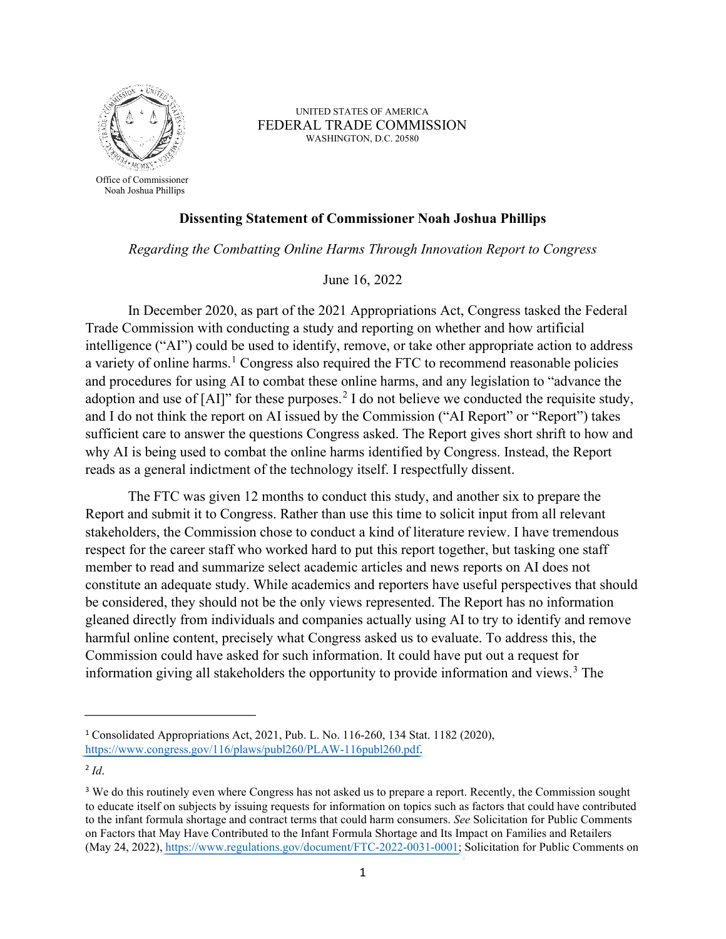

Office of Commissioner Noah Joshua Phillips

UNITED STATES OF AMERICA FEDERAL TRADE COMMISSION WASHINGTON, D.C. 20580

## **Dissenting Statement of Commissioner Noah Joshua Phillips**

*Regarding the Combatting Online Harms Through Innovation Report to Congress* 

June 16, 2022

In December 2020, as part of the 2021 Appropriations Act, Congress tasked the Federal Trade Commission with conducting a study and reporting on whether and how artificial intelligence ("AI") could be used to identify, remove, or take other appropriate action to address a variety of online harms.<sup>[1](#page-0-0)</sup> Congress also required the FTC to recommend reasonable policies and procedures for using AI to combat these online harms, and any legislation to "advance the adoption and use of  $[A]$ " for these purposes.<sup>[2](#page-0-1)</sup> I do not believe we conducted the requisite study, and I do not think the report on AI issued by the Commission ("AI Report" or "Report") takes sufficient care to answer the questions Congress asked. The Report gives short shrift to how and why AI is being used to combat the online harms identified by Congress. Instead, the Report reads as a general indictment of the technology itself. I respectfully dissent.

 The FTC was given 12 months to conduct this study, and another six to prepare the stakeholders, the Commission chose to conduct a kind of literature review. I have tremendous member to read and summarize select academic articles and news reports on AI does not Commission could have asked for such information. It could have put out a request for information giving all stakeholders the opportunity to provide information and views.<sup>3</sup> The Report and submit it to Congress. Rather than use this time to solicit input from all relevant respect for the career staff who worked hard to put this report together, but tasking one staff constitute an adequate study. While academics and reporters have useful perspectives that should be considered, they should not be the only views represented. The Report has no information gleaned directly from individuals and companies actually using AI to try to identify and remove harmful online content, precisely what Congress asked us to evaluate. To address this, the

<span id="page-0-0"></span><sup>1</sup>Consolidated Appropriations Act, 2021, Pub. L. No. 116-260, 134 Stat. 1182 (2020), [https://www.congress.gov/116/plaws/publ260/PLAW-116publ260.pdf.](https://www.congress.gov/116/plaws/publ260/PLAW-116publ260.pdf)

<span id="page-0-1"></span> <sup>2</sup>*Id*.

<span id="page-0-2"></span><sup>&</sup>lt;sup>3</sup> We do this routinely even where Congress has not asked us to prepare a report. Recently, the Commission sought to educate itself on subjects by issuing requests for information on topics such as factors that could have contributed to the infant formula shortage and contract terms that could harm consumers. *See* Solicitation for Public Comments on Factors that May Have Contributed to the Infant Formula Shortage and Its Impact on Families and Retailers (May 24, 2022)[, https://www.regulations.gov/document/FTC-2022-0031-0001;](https://www.regulations.gov/document/FTC-2022-0031-0001) Solicitation for Public Comments on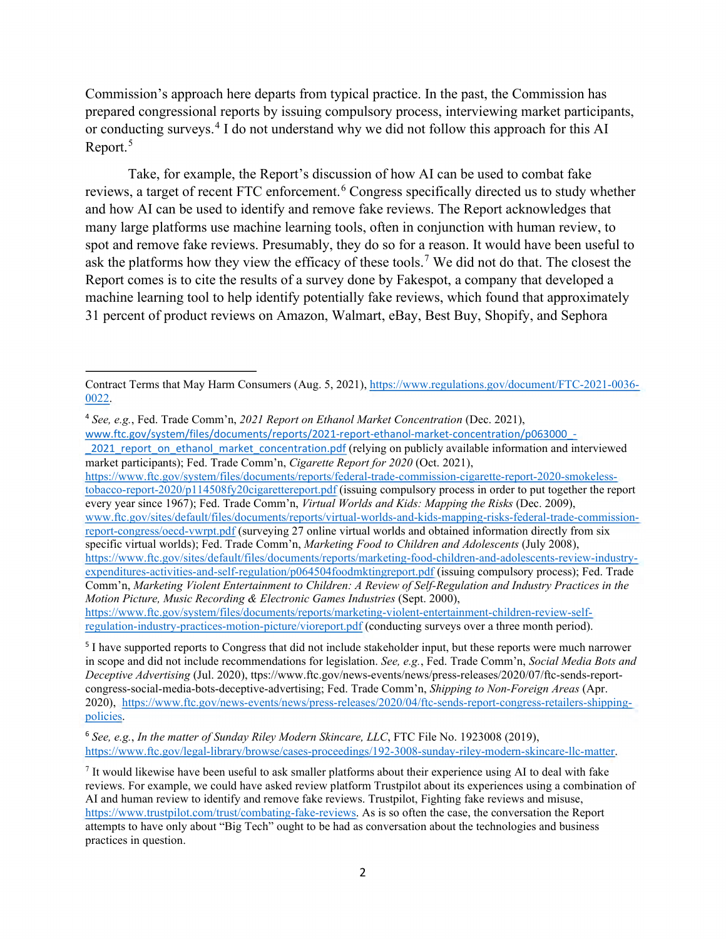or conducting surveys.<sup>[4](#page-1-0)</sup> I do not understand why we did not follow this approach for this AI Report.<sup>[5](#page-1-1)</sup> Commission's approach here departs from typical practice. In the past, the Commission has prepared congressional reports by issuing compulsory process, interviewing market participants,

ask the platforms how they view the efficacy of these tools.<sup>[7](#page-1-3)</sup> We did not do that. The closest the Take, for example, the Report's discussion of how AI can be used to combat fake reviews, a target of recent FTC enforcement.<sup>[6](#page-1-2)</sup> Congress specifically directed us to study whether and how AI can be used to identify and remove fake reviews. The Report acknowledges that many large platforms use machine learning tools, often in conjunction with human review, to spot and remove fake reviews. Presumably, they do so for a reason. It would have been useful to Report comes is to cite the results of a survey done by Fakespot, a company that developed a machine learning tool to help identify potentially fake reviews, which found that approximately 31 percent of product reviews on Amazon, Walmart, eBay, Best Buy, Shopify, and Sephora

 [tobacco-report-2020/p114508fy20cigarettereport.pdf](https://www.ftc.gov/system/files/documents/reports/federal-trade-commission-cigarette-report-2020-smokeless-tobacco-report-2020/p114508fy20cigarettereport.pdf) (issuing compulsory process in order to put together the report [report-congress/oecd-vwrpt.pdf](http://www.ftc.gov/sites/default/files/documents/reports/virtual-worlds-and-kids-mapping-risks-federal-trade-commission-report-congress/oecd-vwrpt.pdf) (surveying 27 online virtual worlds and obtained information directly from six [expenditures-activities-and-self-regulation/p064504foodmktingreport.pdf](https://www.ftc.gov/sites/default/files/documents/reports/marketing-food-children-and-adolescents-review-industry-expenditures-activities-and-self-regulation/p064504foodmktingreport.pdf) (issuing compulsory process); Fed. Trade [https://www.ftc.gov/system/files/documents/reports/federal-trade-commission-cigarette-report-2020-smokeless](https://www.ftc.gov/system/files/documents/reports/federal-trade-commission-cigarette-report-2020-smokeless-tobacco-report-2020/p114508fy20cigarettereport.pdf)every year since 1967); Fed. Trade Comm'n, *Virtual Worlds and Kids: Mapping the Risks* (Dec. 2009), [www.ftc.gov/sites/default/files/documents/reports/virtual-worlds-and-kids-mapping-risks-federal-trade-commission](http://www.ftc.gov/sites/default/files/documents/reports/virtual-worlds-and-kids-mapping-risks-federal-trade-commission-report-congress/oecd-vwrpt.pdf)specific virtual worlds); Fed. Trade Comm'n, *Marketing Food to Children and Adolescents* (July 2008), [https://www.ftc.gov/sites/default/files/documents/reports/marketing-food-children-and-adolescents-review-industry-](https://www.ftc.gov/sites/default/files/documents/reports/marketing-food-children-and-adolescents-review-industry-expenditures-activities-and-self-regulation/p064504foodmktingreport.pdf)Comm'n, *Marketing Violent Entertainment to Children: A Review of Self-Regulation and Industry Practices in the* 

[regulation-industry-practices-motion-picture/vioreport.pdf](https://www.ftc.gov/system/files/documents/reports/marketing-violent-entertainment-children-review-self-regulation-industry-practices-motion-picture/vioreport.pdf) (conducting surveys over a three month period). *Motion Picture, Music Recording & Electronic Games Industries* (Sept. 2000), [https://www.ftc.gov/system/files/documents/reports/marketing-violent-entertainment-children-review-self-](https://www.ftc.gov/system/files/documents/reports/marketing-violent-entertainment-children-review-self-regulation-industry-practices-motion-picture/vioreport.pdf)

<span id="page-1-1"></span> 2020), [https://www.ftc.gov/news-events/news/press-releases/2020/04/ftc-sends-report-congress-retailers-shipping-](https://www.ftc.gov/news-events/news/press-releases/2020/04/ftc-sends-report-congress-retailers-shipping-policies)<sup>5</sup> I have supported reports to Congress that did not include stakeholder input, but these reports were much narrower in scope and did not include recommendations for legislation. *See, e.g.*, Fed. Trade Comm'n, *Social Media Bots and Deceptive Advertising* (Jul. 2020), [ttps://www.ftc.gov/news-events/news/press-releases/2020/07/ftc-sends-report](https://ttps://www.ftc.gov/news-events/news/press-releases/2020/07/ftc-sends-report)congress-social-media-bots-deceptive-advertising; Fed. Trade Comm'n, *Shipping to Non-Foreign Areas* (Apr. [policies.](https://www.ftc.gov/news-events/news/press-releases/2020/04/ftc-sends-report-congress-retailers-shipping-policies)

<span id="page-1-2"></span><sup>6</sup>*See, e.g.*, *In the matter of Sunday Riley Modern Skincare, LLC*, FTC File No. 1923008 (2019), [https://www.ftc.gov/legal-library/browse/cases-proceedings/192-3008-sunday-riley-modern-skincare-llc-matter.](https://www.ftc.gov/legal-library/browse/cases-proceedings/192-3008-sunday-riley-modern-skincare-llc-matter)

Contract Terms that May Harm Consumers (Aug. 5, 2021), [https://www.regulations.gov/document/FTC-2021-0036-](https://www.regulations.gov/document/FTC-2021-0036-0022) [0022.](https://www.regulations.gov/document/FTC-2021-0036-0022)

<span id="page-1-0"></span><sup>4</sup>*See, e.g.*, Fed. Trade Comm'n, *2021 Report on Ethanol Market Concentration* (Dec. 2021),

<sup>2021</sup> report\_on\_ethanol\_market\_concentration.pdf (relying on publicly available information and interviewed [www.ftc.gov/system/files/documents/reports/2021-report-ethanol-market-concentration/p063000\\_](http://www.ftc.gov/system/files/documents/reports/2021-report-ethanol-market-concentration/p063000_-_2021_report_on_ethanol_market_concentration.pdf) market participants); Fed. Trade Comm'n, *Cigarette Report for 2020* (Oct. 2021),

<span id="page-1-3"></span> reviews. For example, we could have asked review platform Trustpilot about its experiences using a combination of AI and human review to identify and remove fake reviews. Trustpilot, Fighting fake reviews and misuse, 7 It would likewise have been useful to ask smaller platforms about their experience using AI to deal with fake [https://www.trustpilot.com/trust/combating-fake-reviews.](https://www.trustpilot.com/trust/combating-fake-reviews) As is so often the case, the conversation the Report attempts to have only about "Big Tech" ought to be had as conversation about the technologies and business practices in question.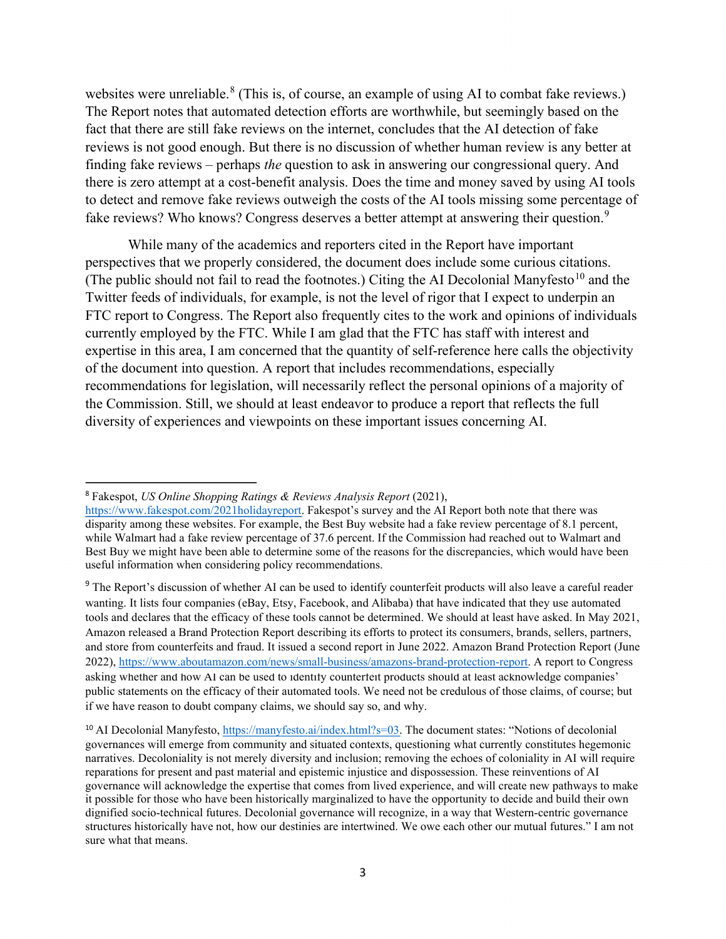reviews is not good enough. But there is no discussion of whether human review is any better at websites were unreliable.<sup>[8](#page-2-0)</sup> (This is, of course, an example of using AI to combat fake reviews.) The Report notes that automated detection efforts are worthwhile, but seemingly based on the fact that there are still fake reviews on the internet, concludes that the AI detection of fake finding fake reviews – perhaps *the* question to ask in answering our congressional query. And there is zero attempt at a cost-benefit analysis. Does the time and money saved by using AI tools to detect and remove fake reviews outweigh the costs of the AI tools missing some percentage of fake reviews? Who knows? Congress deserves a better attempt at answering their question.<sup>[9](#page-2-1)</sup>

 currently employed by the FTC. While I am glad that the FTC has staff with interest and the Commission. Still, we should at least endeavor to produce a report that reflects the full While many of the academics and reporters cited in the Report have important perspectives that we properly considered, the document does include some curious citations. (The public should not fail to read the footnotes.) Citing the AI Decolonial Manyfesto<sup>[10](#page-2-2)</sup> and the Twitter feeds of individuals, for example, is not the level of rigor that I expect to underpin an FTC report to Congress. The Report also frequently cites to the work and opinions of individuals expertise in this area, I am concerned that the quantity of self-reference here calls the objectivity of the document into question. A report that includes recommendations, especially recommendations for legislation, will necessarily reflect the personal opinions of a majority of diversity of experiences and viewpoints on these important issues concerning AI.

<span id="page-2-0"></span><sup>8</sup>Fakespot, *US Online Shopping Ratings & Reviews Analysis Report* (2021),

useful information when considering policy recommendations. disparity among these websites. For example, the Best Buy website had a fake review percentage of 8.1 percent, while Walmart had a fake review percentage of 37.6 percent. If the Commission had reached out to Walmart and Best Buy we might have been able to determine some of the reasons for the discrepancies, which would have been

<span id="page-2-1"></span> asking whether and how AI can be used to identify counterfeit products should at least acknowledge companies' <sup>9</sup> The Report's discussion of whether AI can be used to identify counterfeit products will also leave a careful reader wanting. It lists four companies (eBay, Etsy, Facebook, and Alibaba) that have indicated that they use automated tools and declares that the efficacy of these tools cannot be determined. We should at least have asked. In May 2021, Amazon released a Brand Protection Report describing its efforts to protect its consumers, brands, sellers, partners, and store from counterfeits and fraud. It issued a second report in June 2022. Amazon Brand Protection Report (June 2022), https://www.aboutamazon.com/news/small-business/amazons-brand-protection-report. A report to Congress public statements on the efficacy of their automated tools. We need not be credulous of those claims, of course; but if we have reason to doubt company claims, we should say so, and why. [https://www.fakespot.com/2021holidayreport.](https://www.fakespot.com/2021holidayreport) Fakespot's survey and the AI Report both note that there was<br>disparity sumong these websites. For example, the Best Buy website had a fake review percentage of 8.1 per<br>while Walm

<span id="page-2-2"></span><sup>&</sup>lt;sup>10</sup> AI Decolonial Manyfesto, https://manyfesto.ai/index.html?s=03. The document states: "Notions of decolonial sure what that means. governances will emerge from community and situated contexts, questioning what currently constitutes hegemonic narratives. Decoloniality is not merely diversity and inclusion; removing the echoes of coloniality in AI will require reparations for present and past material and epistemic injustice and dispossession. These reinventions of AI governance will acknowledge the expertise that comes from lived experience, and will create new pathways to make it possible for those who have been historically marginalized to have the opportunity to decide and build their own dignified socio-technical futures. Decolonial governance will recognize, in a way that Western-centric governance structures historically have not, how our destinies are intertwined. We owe each other our mutual futures." I am not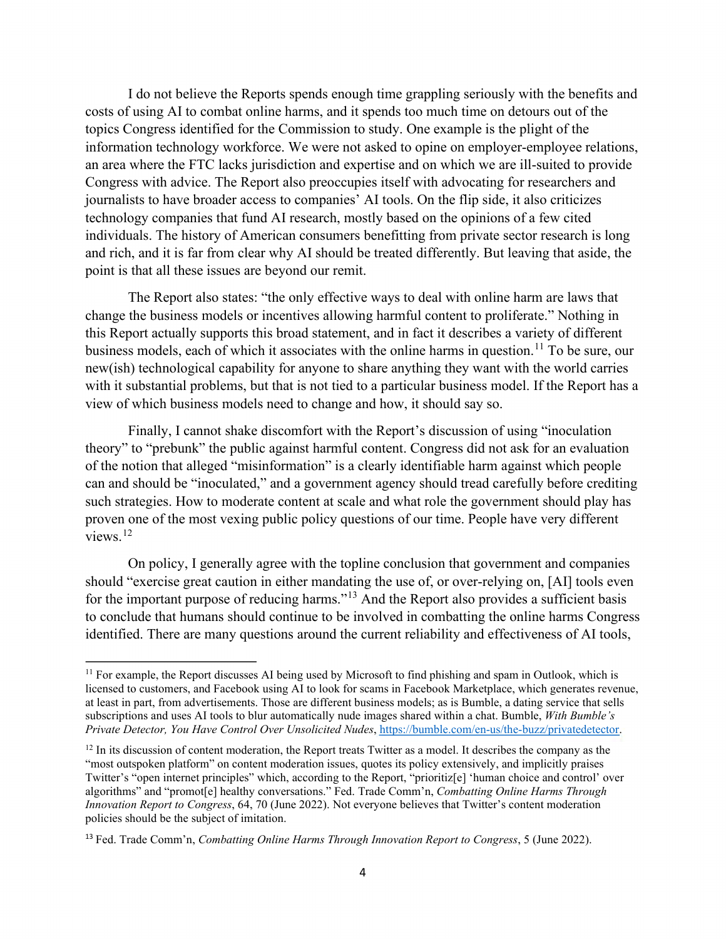Congress with advice. The Report also preoccupies itself with advocating for researchers and I do not believe the Reports spends enough time grappling seriously with the benefits and costs of using AI to combat online harms, and it spends too much time on detours out of the topics Congress identified for the Commission to study. One example is the plight of the information technology workforce. We were not asked to opine on employer-employee relations, an area where the FTC lacks jurisdiction and expertise and on which we are ill-suited to provide journalists to have broader access to companies' AI tools. On the flip side, it also criticizes technology companies that fund AI research, mostly based on the opinions of a few cited individuals. The history of American consumers benefitting from private sector research is long and rich, and it is far from clear why AI should be treated differently. But leaving that aside, the point is that all these issues are beyond our remit.

 new(ish) technological capability for anyone to share anything they want with the world carries The Report also states: "the only effective ways to deal with online harm are laws that change the business models or incentives allowing harmful content to proliferate." Nothing in this Report actually supports this broad statement, and in fact it describes a variety of different business models, each of which it associates with the online harms in question.<sup>[11](#page-3-0)</sup> To be sure, our with it substantial problems, but that is not tied to a particular business model. If the Report has a view of which business models need to change and how, it should say so.

 theory" to "prebunk" the public against harmful content. Congress did not ask for an evaluation views.<sup>12</sup> Finally, I cannot shake discomfort with the Report's discussion of using "inoculation of the notion that alleged "misinformation" is a clearly identifiable harm against which people can and should be "inoculated," and a government agency should tread carefully before crediting such strategies. How to moderate content at scale and what role the government should play has proven one of the most vexing public policy questions of our time. People have very different

On policy, I generally agree with the topline conclusion that government and companies should "exercise great caution in either mandating the use of, or over-relying on, [AI] tools even for the important purpose of reducing harms."[13](#page-3-2) And the Report also provides a sufficient basis to conclude that humans should continue to be involved in combatting the online harms Congress identified. There are many questions around the current reliability and effectiveness of AI tools,

<span id="page-3-0"></span> at least in part, from advertisements. Those are different business models; as is Bumble, a dating service that sells <sup>11</sup> For example, the Report discusses AI being used by Microsoft to find phishing and spam in Outlook, which is licensed to customers, and Facebook using AI to look for scams in Facebook Marketplace, which generates revenue, subscriptions and uses AI tools to blur automatically nude images shared within a chat. Bumble, *With Bumble's Private Detector, You Have Control Over Unsolicited Nudes*, [https://bumble.com/en-us/the-buzz/privatedetector.](https://bumble.com/en-us/the-buzz/privatedetector)

<span id="page-3-1"></span> "most outspoken platform" on content moderation issues, quotes its policy extensively, and implicitly praises  $12$  In its discussion of content moderation, the Report treats Twitter as a model. It describes the company as the Twitter's "open internet principles" which, according to the Report, "prioritiz[e] 'human choice and control' over algorithms" and "promot[e] healthy conversations." Fed. Trade Comm'n, *Combatting Online Harms Through Innovation Report to Congress*, 64, 70 (June 2022). Not everyone believes that Twitter's content moderation policies should be the subject of imitation.

<span id="page-3-2"></span><sup>13</sup>Fed. Trade Comm'n, *Combatting Online Harms Through Innovation Report to Congress*, 5 (June 2022).